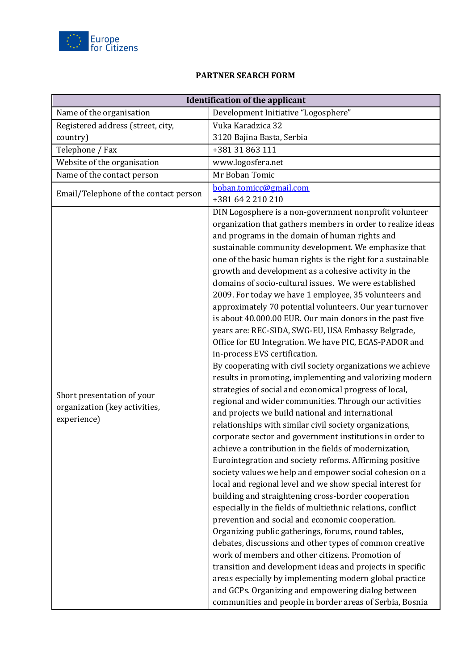

## **PARTNER SEARCH FORM**

| <b>Identification of the applicant</b>                                     |                                                                                                                                                                                                                                                                                                                                                                                                                                                                                                                                                                                                                                                                                                                                                                                                                                                                                                                                                                                                                                                                                                                                                                                                                                                                                                                                                                                                                                                                                                                                                                                                                                                                                                                                                                                                                                                                                                                                                                                                                   |
|----------------------------------------------------------------------------|-------------------------------------------------------------------------------------------------------------------------------------------------------------------------------------------------------------------------------------------------------------------------------------------------------------------------------------------------------------------------------------------------------------------------------------------------------------------------------------------------------------------------------------------------------------------------------------------------------------------------------------------------------------------------------------------------------------------------------------------------------------------------------------------------------------------------------------------------------------------------------------------------------------------------------------------------------------------------------------------------------------------------------------------------------------------------------------------------------------------------------------------------------------------------------------------------------------------------------------------------------------------------------------------------------------------------------------------------------------------------------------------------------------------------------------------------------------------------------------------------------------------------------------------------------------------------------------------------------------------------------------------------------------------------------------------------------------------------------------------------------------------------------------------------------------------------------------------------------------------------------------------------------------------------------------------------------------------------------------------------------------------|
| Name of the organisation                                                   | Development Initiative "Logosphere"                                                                                                                                                                                                                                                                                                                                                                                                                                                                                                                                                                                                                                                                                                                                                                                                                                                                                                                                                                                                                                                                                                                                                                                                                                                                                                                                                                                                                                                                                                                                                                                                                                                                                                                                                                                                                                                                                                                                                                               |
| Registered address (street, city,                                          | Vuka Karadzica 32                                                                                                                                                                                                                                                                                                                                                                                                                                                                                                                                                                                                                                                                                                                                                                                                                                                                                                                                                                                                                                                                                                                                                                                                                                                                                                                                                                                                                                                                                                                                                                                                                                                                                                                                                                                                                                                                                                                                                                                                 |
| country)                                                                   | 3120 Bajina Basta, Serbia                                                                                                                                                                                                                                                                                                                                                                                                                                                                                                                                                                                                                                                                                                                                                                                                                                                                                                                                                                                                                                                                                                                                                                                                                                                                                                                                                                                                                                                                                                                                                                                                                                                                                                                                                                                                                                                                                                                                                                                         |
| Telephone / Fax                                                            | +381 31 863 111                                                                                                                                                                                                                                                                                                                                                                                                                                                                                                                                                                                                                                                                                                                                                                                                                                                                                                                                                                                                                                                                                                                                                                                                                                                                                                                                                                                                                                                                                                                                                                                                                                                                                                                                                                                                                                                                                                                                                                                                   |
| Website of the organisation                                                | www.logosfera.net                                                                                                                                                                                                                                                                                                                                                                                                                                                                                                                                                                                                                                                                                                                                                                                                                                                                                                                                                                                                                                                                                                                                                                                                                                                                                                                                                                                                                                                                                                                                                                                                                                                                                                                                                                                                                                                                                                                                                                                                 |
| Name of the contact person                                                 | Mr Boban Tomic                                                                                                                                                                                                                                                                                                                                                                                                                                                                                                                                                                                                                                                                                                                                                                                                                                                                                                                                                                                                                                                                                                                                                                                                                                                                                                                                                                                                                                                                                                                                                                                                                                                                                                                                                                                                                                                                                                                                                                                                    |
| Email/Telephone of the contact person                                      | boban.tomicc@gmail.com                                                                                                                                                                                                                                                                                                                                                                                                                                                                                                                                                                                                                                                                                                                                                                                                                                                                                                                                                                                                                                                                                                                                                                                                                                                                                                                                                                                                                                                                                                                                                                                                                                                                                                                                                                                                                                                                                                                                                                                            |
|                                                                            | +381 64 2 210 210                                                                                                                                                                                                                                                                                                                                                                                                                                                                                                                                                                                                                                                                                                                                                                                                                                                                                                                                                                                                                                                                                                                                                                                                                                                                                                                                                                                                                                                                                                                                                                                                                                                                                                                                                                                                                                                                                                                                                                                                 |
| Short presentation of your<br>organization (key activities,<br>experience) | DIN Logosphere is a non-government nonprofit volunteer<br>organization that gathers members in order to realize ideas<br>and programs in the domain of human rights and<br>sustainable community development. We emphasize that<br>one of the basic human rights is the right for a sustainable<br>growth and development as a cohesive activity in the<br>domains of socio-cultural issues. We were established<br>2009. For today we have 1 employee, 35 volunteers and<br>approximately 70 potential volunteers. Our year turnover<br>is about 40.000.00 EUR. Our main donors in the past five<br>years are: REC-SIDA, SWG-EU, USA Embassy Belgrade,<br>Office for EU Integration. We have PIC, ECAS-PADOR and<br>in-process EVS certification.<br>By cooperating with civil society organizations we achieve<br>results in promoting, implementing and valorizing modern<br>strategies of social and economical progress of local,<br>regional and wider communities. Through our activities<br>and projects we build national and international<br>relationships with similar civil society organizations,<br>corporate sector and government institutions in order to<br>achieve a contribution in the fields of modernization.<br>Eurointegration and society reforms. Affirming positive<br>society values we help and empower social cohesion on a<br>local and regional level and we show special interest for<br>building and straightening cross-border cooperation<br>especially in the fields of multiethnic relations, conflict<br>prevention and social and economic cooperation.<br>Organizing public gatherings, forums, round tables,<br>debates, discussions and other types of common creative<br>work of members and other citizens. Promotion of<br>transition and development ideas and projects in specific<br>areas especially by implementing modern global practice<br>and GCPs. Organizing and empowering dialog between<br>communities and people in border areas of Serbia, Bosnia |